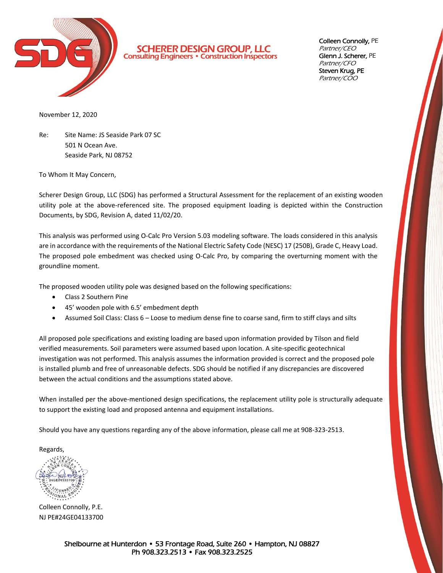

**SCHERER DESIGN GROUP, LLC**<br>Consulting Engineers . Construction Inspectors

Colleen Connolly, PE Partner/CEO Glenn J. Scherer, PE Partner/CFO Steven Krug, PE Partner/COO

November 12, 2020

Re: Site Name: JS Seaside Park 07 SC 501 N Ocean Ave. Seaside Park, NJ 08752

To Whom It May Concern,

Scherer Design Group, LLC (SDG) has performed a Structural Assessment for the replacement of an existing wooden utility pole at the above-referenced site. The proposed equipment loading is depicted within the Construction Documents, by SDG, Revision A, dated 11/02/20.

This analysis was performed using O-Calc Pro Version 5.03 modeling software. The loads considered in this analysis are in accordance with the requirements of the National Electric Safety Code (NESC) 17 (250B), Grade C, Heavy Load. The proposed pole embedment was checked using O-Calc Pro, by comparing the overturning moment with the groundline moment.

The proposed wooden utility pole was designed based on the following specifications:

- Class 2 Southern Pine
- 45' wooden pole with 6.5' embedment depth
- Assumed Soil Class: Class 6 Loose to medium dense fine to coarse sand, firm to stiff clays and silts

All proposed pole specifications and existing loading are based upon information provided by Tilson and field verified measurements. Soil parameters were assumed based upon location. A site-specific geotechnical investigation was not performed. This analysis assumes the information provided is correct and the proposed pole is installed plumb and free of unreasonable defects. SDG should be notified if any discrepancies are discovered between the actual conditions and the assumptions stated above.

When installed per the above-mentioned design specifications, the replacement utility pole is structurally adequate to support the existing load and proposed antenna and equipment installations.

Should you have any questions regarding any of the above information, please call me at 908-323-2513.

Regards,

Colleen Connolly, P.E. NJ PE#24GE04133700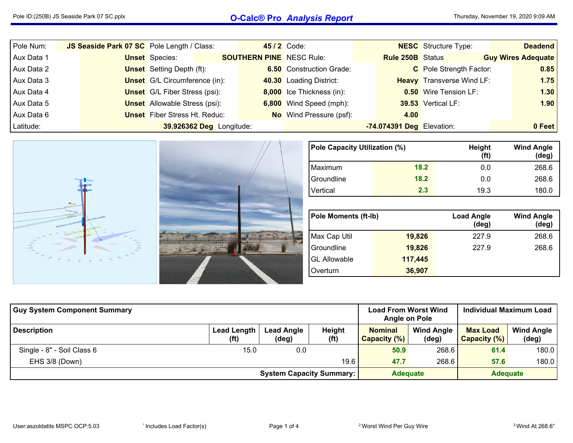## Pole ID:(250B) JS Seaside Park <sup>07</sup> SC.pplx **O-Calc® Pro** *Analysis Report*

| Pole Num:  | JS Seaside Park 07 SC Pole Length / Class: |                                      |                                 | <b>45/2 Code:</b>               |                           | <b>NESC</b> Structure Type:      | <b>Deadend</b>            |
|------------|--------------------------------------------|--------------------------------------|---------------------------------|---------------------------------|---------------------------|----------------------------------|---------------------------|
| Aux Data 1 |                                            | <b>Unset</b> Species:                | <b>SOUTHERN PINE</b> NESC Rule: |                                 | <b>Rule 250B</b> Status   |                                  | <b>Guy Wires Adequate</b> |
| Aux Data 2 |                                            | <b>Unset</b> Setting Depth (ft):     |                                 | <b>6.50</b> Construction Grade: |                           | C Pole Strength Factor:          | 0.85                      |
| Aux Data 3 |                                            | <b>Unset</b> G/L Circumference (in): |                                 | 40.30 Loading District:         |                           | <b>Heavy</b> Transverse Wind LF: | 1.75                      |
| Aux Data 4 |                                            | <b>Unset</b> G/L Fiber Stress (psi): |                                 | 8,000 Ice Thickness (in):       |                           | <b>0.50</b> Wire Tension LF:     | 1.30                      |
| Aux Data 5 |                                            | <b>Unset</b> Allowable Stress (psi): |                                 | 6,800 Wind Speed (mph):         |                           | 39.53 Vertical LF:               | 1.90                      |
| Aux Data 6 |                                            | <b>Unset</b> Fiber Stress Ht. Reduc: |                                 | <b>No</b> Wind Pressure (psf):  | 4.00                      |                                  |                           |
| Latitude:  |                                            | 39.926362 Deg Longitude:             |                                 |                                 | -74.074391 Deg Elevation: |                                  | 0 Feet                    |



| Pole Capacity Utilization (%) |      | Height<br>(ft) | <b>Wind Angle</b><br>(deg) |
|-------------------------------|------|----------------|----------------------------|
| Maximum                       | 18.2 | 0.0            | 268.6                      |
| Groundline                    | 18.2 | 0.0            | 268.6                      |
| Vertical                      | 2.3  | 19.3           | 180.0                      |

| <b>Pole Moments (ft-lb)</b> |         | <b>Load Angle</b><br>$(\deg)$ | <b>Wind Angle</b><br>$(\text{deg})$ |
|-----------------------------|---------|-------------------------------|-------------------------------------|
| Max Cap Util                | 19,826  | 227.9                         | 268.6                               |
| Groundline                  | 19,826  | 227.9                         | 268.6                               |
| <b>GL Allowable</b>         | 117,445 |                               |                                     |
| Overturn                    | 36,907  |                               |                                     |

| <b>Guy System Component Summary</b> |                            |                                 |                             | <b>Load From Worst Wind</b><br>Angle on Pole |                            | <b>Individual Maximum Load</b>  |                            |  |
|-------------------------------------|----------------------------|---------------------------------|-----------------------------|----------------------------------------------|----------------------------|---------------------------------|----------------------------|--|
| <b>Description</b>                  | <b>Lead Length</b><br>(ft) | <b>Lead Angle</b><br>(deg)      | Height<br>(f <sup>t</sup> ) | <b>Nominal</b><br>Capacity (%)               | <b>Wind Angle</b><br>(deg) | <b>Max Load</b><br>Capacity (%) | <b>Wind Angle</b><br>(deg) |  |
| Single - 8" - Soil Class 6          | 15.0                       | 0.0                             |                             | 50.9                                         | 268.6                      | 61.4                            | 180.0                      |  |
| EHS 3/8 (Down)                      |                            |                                 | 19.6                        | 47.7                                         | 268.6                      | 57.6                            | 180.0                      |  |
|                                     |                            | <b>System Capacity Summary:</b> |                             | <b>Adequate</b>                              |                            | <b>Adequate</b>                 |                            |  |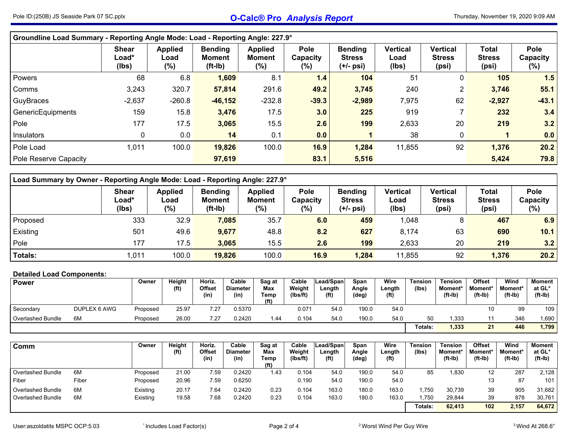|                       | Groundline Load Summary - Reporting Angle Mode: Load - Reporting Angle: 227.9° |                                  |                                              |                                           |                                   |                                              |                                  |                                           |                                        |                                   |  |  |  |  |  |
|-----------------------|--------------------------------------------------------------------------------|----------------------------------|----------------------------------------------|-------------------------------------------|-----------------------------------|----------------------------------------------|----------------------------------|-------------------------------------------|----------------------------------------|-----------------------------------|--|--|--|--|--|
|                       | <b>Shear</b><br>Load*<br>(Ibs)                                                 | <b>Applied</b><br>Load<br>$(\%)$ | <b>Bending</b><br><b>Moment</b><br>$(ft-lb)$ | <b>Applied</b><br><b>Moment</b><br>$(\%)$ | <b>Pole</b><br>Capacity<br>$(\%)$ | <b>Bending</b><br><b>Stress</b><br>(+/- psi) | <b>Vertical</b><br>Load<br>(Ibs) | <b>Vertical</b><br><b>Stress</b><br>(psi) | <b>Total</b><br><b>Stress</b><br>(psi) | <b>Pole</b><br>Capacity<br>$(\%)$ |  |  |  |  |  |
| Powers                | 68                                                                             | 6.8                              | 1,609                                        | 8.1                                       | $1.4$                             | 104                                          | 51                               | 0                                         | 105                                    | 1.5                               |  |  |  |  |  |
| Comms                 | 3,243                                                                          | 320.7                            | 57,814                                       | 291.6                                     | 49.2                              | 3,745                                        | 240                              | $\overline{2}$                            | 3,746                                  | 55.1                              |  |  |  |  |  |
| GuyBraces             | $-2,637$                                                                       | $-260.8$                         | $-46, 152$                                   | $-232.8$                                  | $-39.3$                           | $-2,989$                                     | 7,975                            | 62                                        | $-2,927$                               | $-43.1$                           |  |  |  |  |  |
| GenericEquipments     | 159                                                                            | 15.8                             | 3,476                                        | 17.5                                      | 3.0                               | 225                                          | 919                              |                                           | 232                                    | 3.4                               |  |  |  |  |  |
| Pole                  | 177                                                                            | 17.5                             | 3,065                                        | 15.5                                      | 2.6                               | 199                                          | 2,633                            | 20                                        | 219                                    | 3.2                               |  |  |  |  |  |
| Insulators            | 0                                                                              | 0.0                              | 14                                           | 0.1                                       | 0.0                               |                                              | 38                               | $\mathbf 0$                               |                                        | 0.0                               |  |  |  |  |  |
| Pole Load             | 1,011                                                                          | 100.0                            | 19,826                                       | 100.0                                     | 16.9                              | 1,284                                        | 11,855                           | 92                                        | 1,376                                  | 20.2                              |  |  |  |  |  |
| Pole Reserve Capacity |                                                                                |                                  | 97,619                                       |                                           | 83.1                              | 5,516                                        |                                  |                                           | 5,424                                  | 79.8                              |  |  |  |  |  |

| Load Summary by Owner - Reporting Angle Mode: Load - Reporting Angle: 227.9° |                                |                                  |                                              |                                     |                                |                                                |                           |                                           |                                        |                         |  |  |  |  |
|------------------------------------------------------------------------------|--------------------------------|----------------------------------|----------------------------------------------|-------------------------------------|--------------------------------|------------------------------------------------|---------------------------|-------------------------------------------|----------------------------------------|-------------------------|--|--|--|--|
|                                                                              | <b>Shear</b><br>Load*<br>(Ibs) | <b>Applied</b><br>∟oad<br>$(\%)$ | <b>Bending</b><br><b>Moment</b><br>$(ft-lb)$ | <b>Applied</b><br>Moment<br>$(\% )$ | <b>Pole</b><br>Capacity<br>(%) | <b>Bending</b><br><b>Stress</b><br>$(+/-$ psi) | Vertical<br>Load<br>(lbs) | <b>Vertical</b><br><b>Stress</b><br>(psi) | <b>Total</b><br><b>Stress</b><br>(psi) | Pole<br>Capacity<br>(%) |  |  |  |  |
| <b>Proposed</b>                                                              | 333                            | 32.9                             | 7,085                                        | 35.7                                | 6.0                            | 459                                            | 1,048                     | 8                                         | 467                                    | 6.9                     |  |  |  |  |
| <b>Existing</b>                                                              | 501                            | 49.6                             | 9,677                                        | 48.8                                | 8.2                            | 627                                            | 8,174                     | 63                                        | 690                                    | 10.1                    |  |  |  |  |
| Pole                                                                         | 177                            | 17.5                             | 3,065                                        | 15.5                                | 2.6                            | 199                                            | 2,633                     | 20                                        | 219                                    | 3.2                     |  |  |  |  |
| Totals:                                                                      | 011,                           | 100.0                            | 19,826                                       | 100.0                               | 16.9                           | 1,284                                          | 11,855                    | 92                                        | 1,376                                  | 20.2                    |  |  |  |  |

## **Detailed Load Components:**

| <b>Power</b>             |              | Owner    | <b>Height</b><br>(f <sup>t</sup> ) | Horiz.<br><b>Offset</b><br>(in) | Cable<br><b>Diameter</b><br>(in) | Sag at<br>Max<br>Temp<br>(ft) | Cable<br>Weight<br>(Ibs/ft) | Lead/Spanl<br>ength.<br>(f <sup>t</sup> ) | Span<br>Angle<br>(deg) | Wire<br>Length<br>(f <sup>t</sup> ) | Tension<br>(lbs) | <b>Tension</b><br><b>Moment*</b><br>$(ft-lb)$ | <b>Offset</b><br>Moment*<br>$(ft-lb)$ | Wind<br><b>Moment*</b><br>(ft-Ib) | Moment<br>at GL*<br>$(ft-lb)$ |
|--------------------------|--------------|----------|------------------------------------|---------------------------------|----------------------------------|-------------------------------|-----------------------------|-------------------------------------------|------------------------|-------------------------------------|------------------|-----------------------------------------------|---------------------------------------|-----------------------------------|-------------------------------|
| Secondary                | DUPLEX 6 AWG | Proposed | 25.97                              | 7.27                            | 0.5370                           |                               | 0.071                       | 54.0                                      | 190.0                  | 54.0                                |                  |                                               | 10                                    | 99                                | 109                           |
| <b>Overlashed Bundle</b> | 6M           | Proposed | 26.00                              | 7.27                            | 0.2420                           | 44 ،                          | 0.104                       | 54.0                                      | 190.0                  | 54.0                                | 50               | .333                                          |                                       | 346                               | .690                          |
|                          |              |          |                                    |                                 |                                  |                               |                             |                                           |                        |                                     | Totals:          | 1,333                                         | 21                                    | 446                               | 1,799                         |

| Comm                     |       | Owner    | Height<br>(f <sup>t</sup> ) | Horiz.<br>Offset<br>(in) | Cable<br><b>Diameter</b><br>(in) | Sag at<br>Max<br>Temp<br>(f <sup>t</sup> ) | Cable<br>Weiaht<br>(lbs/ft) | Lead/Span<br>Length<br>(ft) | Span<br>Angle<br>(deg) | Wire<br>Length<br>(f <sup>t</sup> ) | Tension<br>(Ibs) | <b>Tension</b><br><b>Moment</b> *<br>$(ft-lb)$ | <b>Offset</b><br>Moment*<br>$(ft-lb)$ | Wind<br>Moment*<br>$(ft-lb)$ | Moment  <br>at GL*<br>(ft-Ib) |
|--------------------------|-------|----------|-----------------------------|--------------------------|----------------------------------|--------------------------------------------|-----------------------------|-----------------------------|------------------------|-------------------------------------|------------------|------------------------------------------------|---------------------------------------|------------------------------|-------------------------------|
| <b>Overlashed Bundle</b> | 6M    | Proposed | 21.00                       | 7.59                     | 0.2420                           | 1.43                                       | 0.104                       | 54.0                        | 190.0                  | 54.0                                | 85               | 1,830                                          |                                       | 287                          | 2,128                         |
| Fiber                    | Fiber | Proposed | 20.96                       | 7.59                     | 0.6250                           |                                            | 0.190                       | 54.0                        | 190.0                  | 54.0                                |                  |                                                | ں ا                                   | 87                           | 101                           |
| <b>Overlashed Bundle</b> | 6M    | Existing | 20.17                       | 7.64                     | 0.2420                           | 0.23                                       | 0.104                       | 163.0                       | 180.0                  | 163.0                               | .750             | 30,739                                         | 39                                    | 905                          | 31,682                        |
| <b>Overlashed Bundle</b> | 6M    | Existing | 19.58                       | 7.68                     | 0.2420                           | 0.23                                       | 0.104                       | 163.0                       | 180.0                  | 163.0                               | .750             | 29,844                                         | 39                                    | 878                          | 30,761                        |
|                          |       |          |                             |                          |                                  |                                            |                             |                             |                        |                                     | Totals:          | 62,413                                         | 102                                   | 2.157                        | 64,672                        |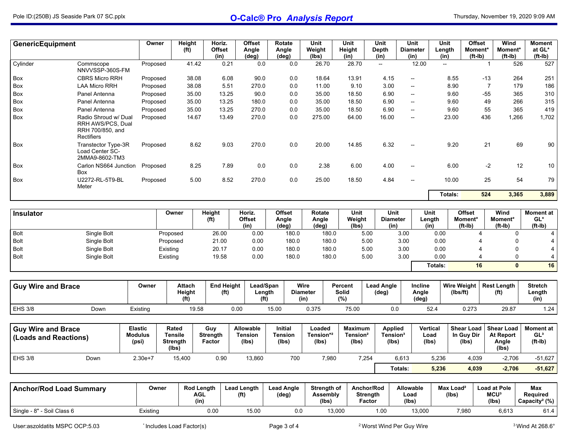| <b>GenericEquipment</b>                            |                                                                             | Owner                                     | Height<br>(f <sup>t</sup> )                         | Horiz.<br><b>Offset</b><br>(in)        | <b>Offset</b><br>Angle<br>(deg)      | Rotate<br>Angle<br>(deg)                  | Unit<br>Weight<br>(lbs)                  |       | Unit<br>Height<br>(in)                          | Unit<br><b>Depth</b><br>(in)                    | Unit<br><b>Diameter</b><br>(in) | (in)                               | <b>Offset</b><br>Unit<br>Length<br>Moment*<br>$(ft-lb)$ |                | Wind<br>Moment*<br>$(ft-lb)$                            | <b>Moment</b><br>at GL*<br>(ft-Ib)               |
|----------------------------------------------------|-----------------------------------------------------------------------------|-------------------------------------------|-----------------------------------------------------|----------------------------------------|--------------------------------------|-------------------------------------------|------------------------------------------|-------|-------------------------------------------------|-------------------------------------------------|---------------------------------|------------------------------------|---------------------------------------------------------|----------------|---------------------------------------------------------|--------------------------------------------------|
| Cylinder                                           | Commscope<br>NNVVSSP-360S-FM                                                | Proposed                                  | 41.42                                               | 0.21                                   | 0.0                                  |                                           | 0.0                                      | 26.70 | 28.70                                           | $\sim$                                          | 12.00                           |                                    | $\sim$                                                  | $\mathbf{1}$   | 526                                                     | 527                                              |
| Box                                                | <b>CBRS Micro RRH</b>                                                       | Proposed                                  | 38.08                                               | 6.08                                   | 90.0                                 |                                           | 0.0                                      | 18.64 | 13.91                                           | 4.15                                            | --                              |                                    | 8.55                                                    | -13            | 264                                                     | 251                                              |
| Box                                                | <b>LAA Micro RRH</b>                                                        | Proposed                                  | 38.08                                               | 5.51                                   | 270.0                                |                                           | 0.0                                      | 11.00 | 9.10                                            | 3.00                                            | --                              |                                    | 8.90                                                    | $\overline{7}$ | 179                                                     | 186                                              |
| Box                                                | Panel Antenna                                                               | Proposed                                  | 35.00                                               | 13.25                                  | 90.0                                 |                                           | 0.0                                      | 35.00 | 18.50                                           | 6.90                                            | --                              |                                    | 9.60                                                    | -55            | 365                                                     | 310                                              |
| Box                                                | Panel Antenna                                                               | Proposed                                  | 35.00                                               | 13.25                                  | 180.0                                |                                           | 0.0                                      | 35.00 | 18.50                                           | 6.90                                            | $\overline{\phantom{a}}$        |                                    | 9.60                                                    | 49             | 266                                                     | 315                                              |
| Box                                                | Panel Antenna                                                               | Proposed                                  | 35.00                                               | 13.25                                  | 270.0                                |                                           | 0.0                                      | 35.00 | 18.50                                           | 6.90                                            | --                              |                                    | 9.60                                                    | 55             | 365                                                     | 419                                              |
| Box                                                | Radio Shroud w/ Dual<br>RRH AWS/PCS, Dual<br>RRH 700/850, and<br>Rectifiers | Proposed                                  | 14.67                                               | 13.49                                  | 270.0                                |                                           | 0.0<br>275.00                            |       | 64.00                                           | 16.00                                           | --                              |                                    | 23.00                                                   | 436            | 1,266                                                   | 1,702                                            |
| Box                                                | Transtector Type-3R<br>Load Center SC-<br>2MMA9-8602-TM3                    | Proposed                                  |                                                     | 8.62<br>9.03                           | 270.0                                |                                           | 0.0                                      | 20.00 | 14.85                                           | 6.32                                            | --                              |                                    | 9.20                                                    | 21             | 69                                                      | 90                                               |
| Box                                                | Carlon NS664 Junction<br>Box                                                | Proposed                                  |                                                     | 8.25<br>7.89                           | 0.0                                  |                                           | 0.0                                      | 2.38  | 6.00                                            | 4.00                                            | --                              |                                    | 6.00                                                    | $-2$           | 12                                                      | 10                                               |
| Box                                                | U2272-RL-5T9-BL<br>Meter                                                    | Proposed                                  |                                                     | 8.52<br>5.00                           | 270.0                                |                                           | 0.0                                      | 25.00 | 18.50                                           | 4.84                                            | $\overline{a}$                  |                                    | 10.00                                                   | 25             | 54                                                      | 79                                               |
|                                                    |                                                                             |                                           |                                                     |                                        |                                      |                                           |                                          |       |                                                 |                                                 |                                 |                                    | Totals:                                                 | 524            | 3,365                                                   | 3,889                                            |
|                                                    |                                                                             |                                           |                                                     |                                        |                                      |                                           |                                          |       |                                                 |                                                 |                                 |                                    |                                                         |                |                                                         |                                                  |
| Insulator                                          |                                                                             |                                           | Owner                                               | Height<br>(f <sup>t</sup> )            | Horiz.<br><b>Offset</b><br>(in)      | <b>Offset</b><br>Angle<br>(deg)           | <b>Rotate</b><br>Angle<br>$(\text{deg})$ |       | <b>Unit</b><br>Weight<br>(lbs)                  | Unit<br><b>Diameter</b><br>(in)                 |                                 | <b>Unit</b><br>Length<br>(in)      | <b>Offset</b><br>Moment*<br>$(ft-lb)$                   |                | Wind<br>Moment*<br>$(ft-lb)$                            | <b>Moment</b> at<br>GL*<br>$(ft-lb)$             |
| <b>Bolt</b>                                        | Single Bolt                                                                 |                                           | Proposed                                            | 26.00                                  | 0.00                                 |                                           | 180.0                                    | 180.0 | 5.00                                            |                                                 | 3.00                            | 0.00                               |                                                         | 4              | $\mathbf{0}$                                            | 4                                                |
| <b>Bolt</b>                                        | Single Bolt                                                                 |                                           | Proposed                                            | 21.00                                  | 0.00                                 |                                           | 180.0                                    | 180.0 |                                                 | 5.00                                            | 3.00                            | 0.00                               |                                                         | 4              | 0                                                       | 4                                                |
| Bolt                                               | Single Bolt                                                                 |                                           | Existing                                            | 20.17                                  | 0.00                                 |                                           | 180.0                                    | 180.0 | 5.00                                            |                                                 | 3.00                            | 0.00                               |                                                         | 4              | 0                                                       | $\overline{\mathbf{4}}$                          |
| Bolt                                               | Single Bolt                                                                 |                                           | Existing                                            | 19.58                                  | 0.00                                 |                                           | 180.0                                    | 180.0 |                                                 | 5.00                                            | 3.00                            | 0.00                               |                                                         | 4              | 0                                                       | $\overline{4}$                                   |
|                                                    |                                                                             |                                           |                                                     |                                        |                                      |                                           |                                          |       |                                                 |                                                 |                                 | Totals:                            |                                                         | 16             | $\mathbf{0}$                                            | 16                                               |
|                                                    |                                                                             |                                           |                                                     |                                        |                                      |                                           |                                          |       |                                                 |                                                 |                                 |                                    |                                                         |                |                                                         |                                                  |
| <b>Guy Wire and Brace</b>                          |                                                                             | Owner                                     | <b>Attach</b><br>Height<br>(f <sup>t</sup> )        | <b>End Height</b><br>(f <sup>t</sup> ) |                                      | Lead/Span<br>Length<br>(f <sup>t</sup> )  | Wire<br><b>Diameter</b><br>(in)          |       | Percent<br><b>Solid</b><br>(%)                  | <b>Lead Angle</b><br>$(\text{deg})$             |                                 | Incline<br>Angle<br>$(\text{deg})$ | <b>Wire Weight</b><br>(Ibs/ft)                          |                | <b>Rest Length</b><br>(f <sup>t</sup> )                 | <b>Stretch</b><br>Length<br>(in)                 |
| <b>EHS 3/8</b>                                     | Down                                                                        | Existing                                  |                                                     | 19.58                                  | 0.00                                 | 15.00                                     | 0.375                                    |       | 75.00                                           | 0.0                                             |                                 | 52.4                               | 0.273                                                   |                | 29.87                                                   | 1.24                                             |
|                                                    |                                                                             |                                           |                                                     |                                        |                                      |                                           |                                          |       |                                                 |                                                 |                                 |                                    |                                                         |                |                                                         |                                                  |
| <b>Guy Wire and Brace</b><br>(Loads and Reactions) |                                                                             | <b>Elastic</b><br><b>Modulus</b><br>(psi) | Rated<br><b>Tensile</b><br><b>Strength</b><br>(Ibs) | Guy<br><b>Strength</b><br>Factor       | Allowable<br><b>Tension</b><br>(Ibs) | <b>Initial</b><br><b>Tension</b><br>(lbs) | Loaded<br>Tension* <sup>2</sup><br>(Ibs) |       | <b>Maximum</b><br>Tension <sup>2</sup><br>(Ibs) | <b>Applied</b><br>Tension <sup>3</sup><br>(lbs) |                                 | <b>Vertical</b><br>Load<br>(Ibs)   | <b>Shear Load</b><br>In Guy Dir<br>(lbs)                |                | <b>Shear Load</b><br><b>At Report</b><br>Angle<br>(Ibs) | <b>Moment</b> at<br>GL <sup>3</sup><br>$(ft-lb)$ |
| <b>EHS 3/8</b>                                     | Down                                                                        | $2.30e+7$                                 | 15.400                                              | 0.90                                   | 13.860                               |                                           | 700                                      | 7.980 | 7.254                                           |                                                 | 6.613                           | 5.236                              | 4.039                                                   |                | $-2.706$                                                | $-51,627$                                        |

| <b>Anchor/Rod Load Summary</b>  | Owner    | <b>Rod Length</b><br>AGL<br>(in) | <b>Lead Length</b><br>(ft | <b>Lead Angle</b><br>(deg) | <b>Strenath of</b><br>Assembly<br>(Ibs) | Anchor/Rod<br><b>Strenath</b><br>Factor | Allowable<br>Load<br>(lbs | Max Load <sup>2</sup><br>(lbs | Load at Pole<br><b>MCU<sup>3</sup></b><br>(lbs | Max<br><b>Required</b><br>Capacity <sup>2</sup> (%) |
|---------------------------------|----------|----------------------------------|---------------------------|----------------------------|-----------------------------------------|-----------------------------------------|---------------------------|-------------------------------|------------------------------------------------|-----------------------------------------------------|
| " - Soil Class 6<br>Single - 8' | Existing | 0.00                             | 15.00                     | o c                        | 13,000                                  | 00. ا                                   | 13,000                    | 7,980                         | 6,613                                          | 61.4                                                |

**Totals: 5,236 4,039 -2,706 -51,627**